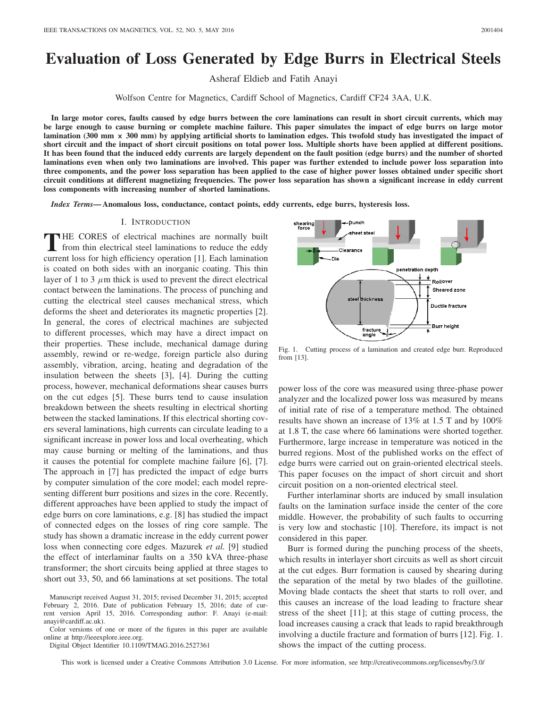# **Evaluation of Loss Generated by Edge Burrs in Electrical Steels**

Asheraf Eldieb and Fatih Anayi

Wolfson Centre for Magnetics, Cardiff School of Magnetics, Cardiff CF24 3AA, U.K.

**In large motor cores, faults caused by edge burrs between the core laminations can result in short circuit currents, which may be large enough to cause burning or complete machine failure. This paper simulates the impact of edge burrs on large motor lamination (300 mm × 300 mm) by applying artificial shorts to lamination edges. This twofold study has investigated the impact of short circuit and the impact of short circuit positions on total power loss. Multiple shorts have been applied at different positions. It has been found that the induced eddy currents are largely dependent on the fault position (edge burrs) and the number of shorted laminations even when only two laminations are involved. This paper was further extended to include power loss separation into three components, and the power loss separation has been applied to the case of higher power losses obtained under specific short circuit conditions at different magnetizing frequencies. The power loss separation has shown a significant increase in eddy current loss components with increasing number of shorted laminations.**

*Index Terms***— Anomalous loss, conductance, contact points, eddy currents, edge burrs, hysteresis loss.**

## I. INTRODUCTION

**T**HE CORES of electrical machines are normally built from thin electrical steel laminations to reduce the eddy current loss for high efficiency operation [1]. Each lamination is coated on both sides with an inorganic coating. This thin layer of 1 to 3  $\mu$ m thick is used to prevent the direct electrical contact between the laminations. The process of punching and cutting the electrical steel causes mechanical stress, which deforms the sheet and deteriorates its magnetic properties [2]. In general, the cores of electrical machines are subjected to different processes, which may have a direct impact on their properties. These include, mechanical damage during assembly, rewind or re-wedge, foreign particle also during assembly, vibration, arcing, heating and degradation of the insulation between the sheets [3], [4]. During the cutting process, however, mechanical deformations shear causes burrs on the cut edges [5]. These burrs tend to cause insulation breakdown between the sheets resulting in electrical shorting between the stacked laminations. If this electrical shorting covers several laminations, high currents can circulate leading to a significant increase in power loss and local overheating, which may cause burning or melting of the laminations, and thus it causes the potential for complete machine failure [6], [7]. The approach in [7] has predicted the impact of edge burrs by computer simulation of the core model; each model representing different burr positions and sizes in the core. Recently, different approaches have been applied to study the impact of edge burrs on core laminations, e.g. [8] has studied the impact of connected edges on the losses of ring core sample. The study has shown a dramatic increase in the eddy current power loss when connecting core edges. Mazurek *et al.* [9] studied the effect of interlaminar faults on a 350 kVA three-phase transformer; the short circuits being applied at three stages to short out 33, 50, and 66 laminations at set positions. The total

Color versions of one or more of the figures in this paper are available online at http://ieeexplore.ieee.org.

Digital Object Identifier 10.1109/TMAG.2016.2527361

Dunchshearing<br>force Clearance .<br>Die penetration depth Rollover Sheared zone steel thicknes: Ductile fracture Burr height fracture<br>angle

Fig. 1. Cutting process of a lamination and created edge burr. Reproduced from [13].

power loss of the core was measured using three-phase power analyzer and the localized power loss was measured by means of initial rate of rise of a temperature method. The obtained results have shown an increase of 13% at 1.5 T and by 100% at 1.8 T, the case where 66 laminations were shorted together. Furthermore, large increase in temperature was noticed in the burred regions. Most of the published works on the effect of edge burrs were carried out on grain-oriented electrical steels. This paper focuses on the impact of short circuit and short circuit position on a non-oriented electrical steel.

Further interlaminar shorts are induced by small insulation faults on the lamination surface inside the center of the core middle. However, the probability of such faults to occurring is very low and stochastic [10]. Therefore, its impact is not considered in this paper.

Burr is formed during the punching process of the sheets, which results in interlayer short circuits as well as short circuit at the cut edges. Burr formation is caused by shearing during the separation of the metal by two blades of the guillotine. Moving blade contacts the sheet that starts to roll over, and this causes an increase of the load leading to fracture shear stress of the sheet [11]; at this stage of cutting process, the load increases causing a crack that leads to rapid breakthrough involving a ductile fracture and formation of burrs [12]. Fig. 1. shows the impact of the cutting process.

This work is licensed under a Creative Commons Attribution 3.0 License. For more information, see http://creativecommons.org/licenses/by/3.0/

Manuscript received August 31, 2015; revised December 31, 2015; accepted February 2, 2016. Date of publication February 15, 2016; date of current version April 15, 2016. Corresponding author: F. Anayi (e-mail: anayi@cardiff.ac.uk).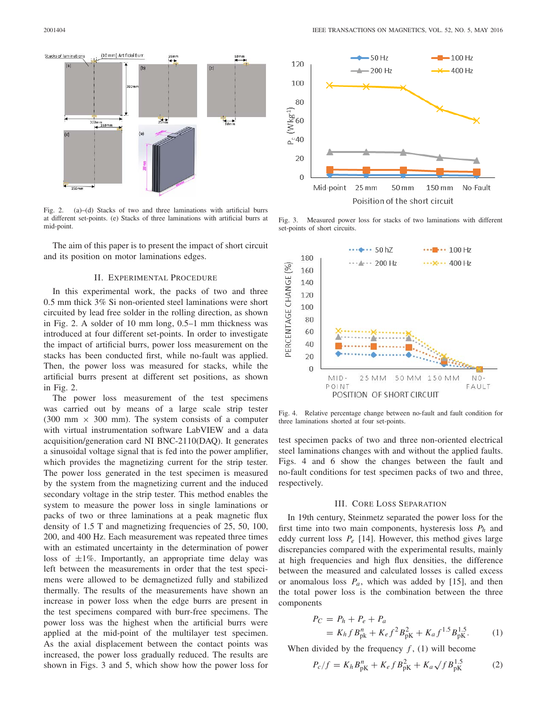

Fig. 2. (a)–(d) Stacks of two and three laminations with artificial burrs at different set-points. (e) Stacks of three laminations with artificial burrs at mid-point.

The aim of this paper is to present the impact of short circuit and its position on motor laminations edges.

#### II. EXPERIMENTAL PROCEDURE

In this experimental work, the packs of two and three 0.5 mm thick 3% Si non-oriented steel laminations were short circuited by lead free solder in the rolling direction, as shown in Fig. 2. A solder of 10 mm long, 0.5–1 mm thickness was introduced at four different set-points. In order to investigate the impact of artificial burrs, power loss measurement on the stacks has been conducted first, while no-fault was applied. Then, the power loss was measured for stacks, while the artificial burrs present at different set positions, as shown in Fig. 2.

The power loss measurement of the test specimens was carried out by means of a large scale strip tester  $(300 \text{ mm} \times 300 \text{ mm})$ . The system consists of a computer with virtual instrumentation software LabVIEW and a data acquisition/generation card NI BNC-2110(DAQ). It generates a sinusoidal voltage signal that is fed into the power amplifier, which provides the magnetizing current for the strip tester. The power loss generated in the test specimen is measured by the system from the magnetizing current and the induced secondary voltage in the strip tester. This method enables the system to measure the power loss in single laminations or packs of two or three laminations at a peak magnetic flux density of 1.5 T and magnetizing frequencies of 25, 50, 100, 200, and 400 Hz. Each measurement was repeated three times with an estimated uncertainty in the determination of power loss of  $\pm 1\%$ . Importantly, an appropriate time delay was left between the measurements in order that the test specimens were allowed to be demagnetized fully and stabilized thermally. The results of the measurements have shown an increase in power loss when the edge burrs are present in the test specimens compared with burr-free specimens. The power loss was the highest when the artificial burrs were applied at the mid-point of the multilayer test specimen. As the axial displacement between the contact points was increased, the power loss gradually reduced. The results are shown in Figs. 3 and 5, which show how the power loss for



Fig. 3. Measured power loss for stacks of two laminations with different set-points of short circuits.



Fig. 4. Relative percentage change between no-fault and fault condition for three laminations shorted at four set-points.

test specimen packs of two and three non-oriented electrical steel laminations changes with and without the applied faults. Figs. 4 and 6 show the changes between the fault and no-fault conditions for test specimen packs of two and three, respectively.

### III. CORE LOSS SEPARATION

In 19th century, Steinmetz separated the power loss for the first time into two main components, hysteresis loss *Ph* and eddy current loss *Pe* [14]. However, this method gives large discrepancies compared with the experimental results, mainly at high frequencies and high flux densities, the difference between the measured and calculated losses is called excess or anomalous loss  $P_a$ , which was added by [15], and then the total power loss is the combination between the three components

$$
P_C = P_h + P_e + P_a
$$
  
=  $K_h f B_{\text{pk}}^n + K_e f^2 B_{\text{pk}}^2 + K_a f^{1.5} B_{\text{pk}}^{1.5}$ . (1)

When divided by the frequency  $f$ , (1) will become

$$
P_c/f = K_h B_{pK}^n + K_e f B_{pK}^2 + K_a \sqrt{f} B_{pK}^{1.5}
$$
 (2)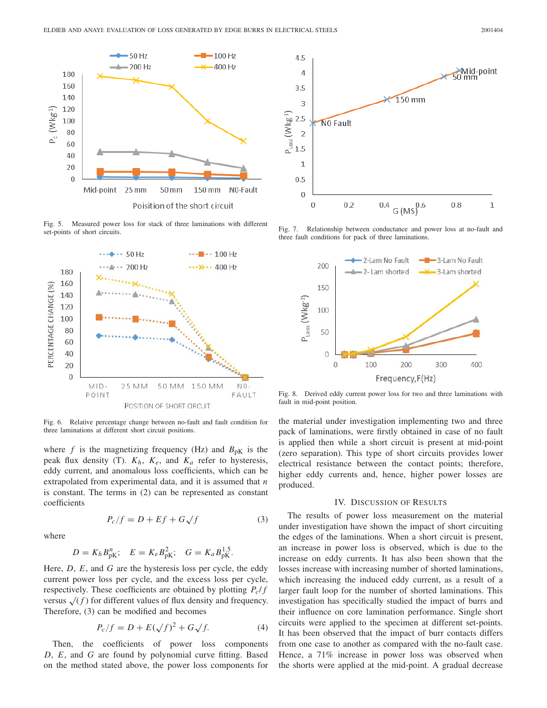

Fig. 5. Measured power loss for stack of three laminations with different set-points of short circuits.

![](_page_2_Figure_3.jpeg)

Fig. 6. Relative percentage change between no-fault and fault condition for three laminations at different short circuit positions.

where  $f$  is the magnetizing frequency (Hz) and  $B_{pK}$  is the peak flux density (T). *Kh*, *Ke*, and *Ka* refer to hysteresis, eddy current, and anomalous loss coefficients, which can be extrapolated from experimental data, and it is assumed that *n* is constant. The terms in (2) can be represented as constant coefficients

 $P_c/f = D + Ef + G\sqrt{f}$  (3)

where

$$
D = K_h B_{pK}^n
$$
;  $E = K_e B_{pK}^2$ ;  $G = K_a B_{pK}^{1.5}$ .

Here, *D*, *E*, and *G* are the hysteresis loss per cycle, the eddy current power loss per cycle, and the excess loss per cycle, respectively. These coefficients are obtained by plotting *Pc*/ *f* versus  $\sqrt{(f)}$  for different values of flux density and frequency. Therefore, (3) can be modified and becomes

$$
P_c/f = D + E(\sqrt{f})^2 + G\sqrt{f}.
$$
 (4)

Then, the coefficients of power loss components *D*, *E*, and *G* are found by polynomial curve fitting. Based on the method stated above, the power loss components for

![](_page_2_Figure_12.jpeg)

Fig. 7. Relationship between conductance and power loss at no-fault and three fault conditions for pack of three laminations.

![](_page_2_Figure_14.jpeg)

Fig. 8. Derived eddy current power loss for two and three laminations with fault in mid-point position.

the material under investigation implementing two and three pack of laminations, were firstly obtained in case of no fault is applied then while a short circuit is present at mid-point (zero separation). This type of short circuits provides lower electrical resistance between the contact points; therefore, higher eddy currents and, hence, higher power losses are produced.

## IV. DISCUSSION OF RESULTS

The results of power loss measurement on the material under investigation have shown the impact of short circuiting the edges of the laminations. When a short circuit is present, an increase in power loss is observed, which is due to the increase on eddy currents. It has also been shown that the losses increase with increasing number of shorted laminations, which increasing the induced eddy current, as a result of a larger fault loop for the number of shorted laminations. This investigation has specifically studied the impact of burrs and their influence on core lamination performance. Single short circuits were applied to the specimen at different set-points. It has been observed that the impact of burr contacts differs from one case to another as compared with the no-fault case. Hence, a 71% increase in power loss was observed when the shorts were applied at the mid-point. A gradual decrease